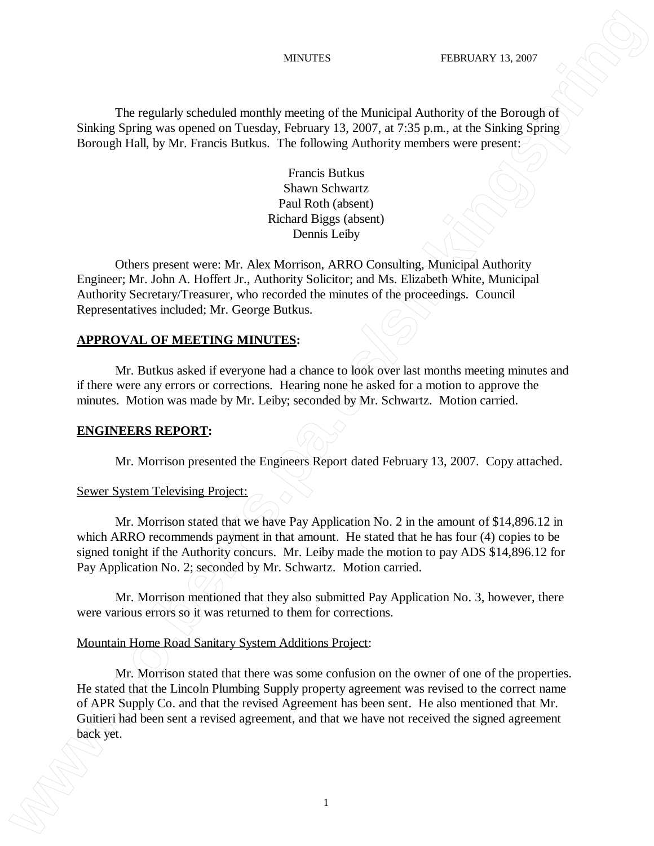The regularly scheduled monthly meeting of the Municipal Authority of the Borough of Sinking Spring was opened on Tuesday, February 13, 2007, at 7:35 p.m., at the Sinking Spring Borough Hall, by Mr. Francis Butkus. The following Authority members were present:

> Francis Butkus Shawn Schwartz Paul Roth (absent) Richard Biggs (absent) Dennis Leiby

Others present were: Mr. Alex Morrison, ARRO Consulting, Municipal Authority Engineer; Mr. John A. Hoffert Jr., Authority Solicitor; and Ms. Elizabeth White, Municipal Authority Secretary/Treasurer, who recorded the minutes of the proceedings. Council Representatives included; Mr. George Butkus.

### **APPROVAL OF MEETING MINUTES:**

Mr. Butkus asked if everyone had a chance to look over last months meeting minutes and if there were any errors or corrections. Hearing none he asked for a motion to approve the minutes. Motion was made by Mr. Leiby; seconded by Mr. Schwartz. Motion carried.

### **ENGINEERS REPORT:**

Mr. Morrison presented the Engineers Report dated February 13, 2007. Copy attached.

#### Sewer System Televising Project:

Mr. Morrison stated that we have Pay Application No. 2 in the amount of \$14,896.12 in which ARRO recommends payment in that amount. He stated that he has four (4) copies to be signed tonight if the Authority concurs. Mr. Leiby made the motion to pay ADS \$14,896.12 for Pay Application No. 2; seconded by Mr. Schwartz. Motion carried.

Mr. Morrison mentioned that they also submitted Pay Application No. 3, however, there were various errors so it was returned to them for corrections.

#### Mountain Home Road Sanitary System Additions Project:

Mr. Morrison stated that there was some confusion on the owner of one of the properties. He stated that the Lincoln Plumbing Supply property agreement was revised to the correct name of APR Supply Co. and that the revised Agreement has been sent. He also mentioned that Mr. Guitieri had been sent a revised agreement, and that we have not received the signed agreement **back yields** the regularly schematic monthly meeting of the Maniepal Authors's of the Borough of Similar System are space on Funchis Pressure 2. 200, and 2.5 to p.m. at the Similar System of the Similar System of The Con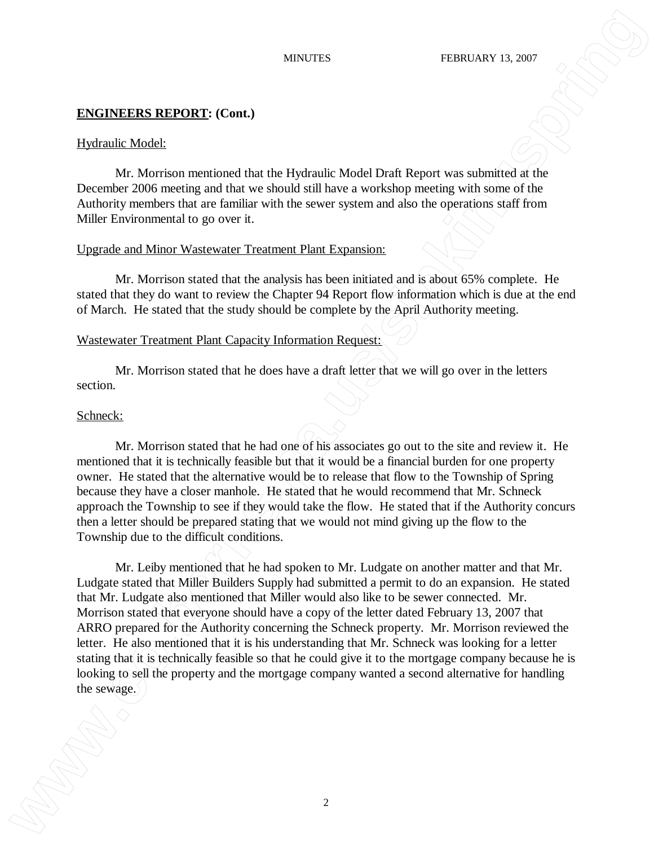### Hydraulic Model:

Mr. Morrison mentioned that the Hydraulic Model Draft Report was submitted at the December 2006 meeting and that we should still have a workshop meeting with some of the Authority members that are familiar with the sewer system and also the operations staff from Miller Environmental to go over it.

### Upgrade and Minor Wastewater Treatment Plant Expansion:

Mr. Morrison stated that the analysis has been initiated and is about 65% complete. He stated that they do want to review the Chapter 94 Report flow information which is due at the end of March. He stated that the study should be complete by the April Authority meeting.

### Wastewater Treatment Plant Capacity Information Request:

Mr. Morrison stated that he does have a draft letter that we will go over in the letters section.

#### Schneck:

Mr. Morrison stated that he had one of his associates go out to the site and review it. He mentioned that it is technically feasible but that it would be a financial burden for one property owner. He stated that the alternative would be to release that flow to the Township of Spring because they have a closer manhole. He stated that he would recommend that Mr. Schneck approach the Township to see if they would take the flow. He stated that if the Authority concurs then a letter should be prepared stating that we would not mind giving up the flow to the Township due to the difficult conditions.

Mr. Leiby mentioned that he had spoken to Mr. Ludgate on another matter and that Mr. Ludgate stated that Miller Builders Supply had submitted a permit to do an expansion. He stated that Mr. Ludgate also mentioned that Miller would also like to be sewer connected. Mr. Morrison stated that everyone should have a copy of the letter dated February 13, 2007 that ARRO prepared for the Authority concerning the Schneck property. Mr. Morrison reviewed the letter. He also mentioned that it is his understanding that Mr. Schneck was looking for a letter stating that it is technically feasible so that he could give it to the mortgage company because he is looking to sell the property and the mortgage company wanted a second alternative for handling **EXECUTIONS REPORT**: Cont.1<br> **EXECUTIONS REPORT**: Cont.1<br>
Thydramic Nodels<br>
The main of the semanting and the set of policinal is Nodel Deal Beyon was substituted in the<br>
Location 2006 metring and the set obtained limit we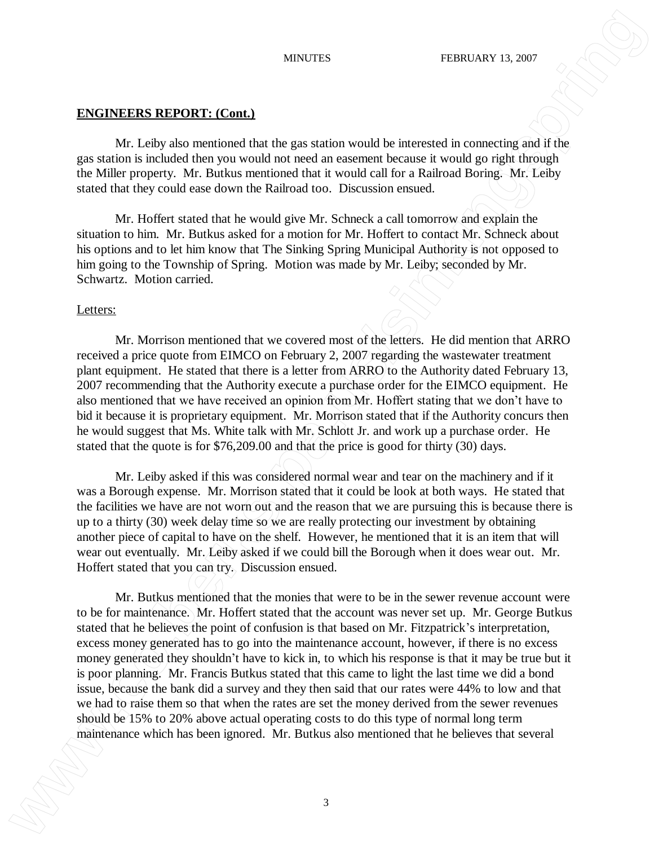Mr. Leiby also mentioned that the gas station would be interested in connecting and if the gas station is included then you would not need an easement because it would go right through the Miller property. Mr. Butkus mentioned that it would call for a Railroad Boring. Mr. Leiby stated that they could ease down the Railroad too. Discussion ensued.

Mr. Hoffert stated that he would give Mr. Schneck a call tomorrow and explain the situation to him. Mr. Butkus asked for a motion for Mr. Hoffert to contact Mr. Schneck about his options and to let him know that The Sinking Spring Municipal Authority is not opposed to him going to the Township of Spring. Motion was made by Mr. Leiby; seconded by Mr. Schwartz. Motion carried.

## Letters:

Mr. Morrison mentioned that we covered most of the letters. He did mention that ARRO received a price quote from EIMCO on February 2, 2007 regarding the wastewater treatment plant equipment. He stated that there is a letter from ARRO to the Authority dated February 13, 2007 recommending that the Authority execute a purchase order for the EIMCO equipment. He also mentioned that we have received an opinion from Mr. Hoffert stating that we don't have to bid it because it is proprietary equipment. Mr. Morrison stated that if the Authority concurs then he would suggest that Ms. White talk with Mr. Schlott Jr. and work up a purchase order. He stated that the quote is for \$76,209.00 and that the price is good for thirty (30) days.

Mr. Leiby asked if this was considered normal wear and tear on the machinery and if it was a Borough expense. Mr. Morrison stated that it could be look at both ways. He stated that the facilities we have are not worn out and the reason that we are pursuing this is because there is up to a thirty (30) week delay time so we are really protecting our investment by obtaining another piece of capital to have on the shelf. However, he mentioned that it is an item that will wear out eventually. Mr. Leiby asked if we could bill the Borough when it does wear out. Mr. Hoffert stated that you can try. Discussion ensued.

Mr. Butkus mentioned that the monies that were to be in the sewer revenue account were to be for maintenance. Mr. Hoffert stated that the account was never set up. Mr. George Butkus stated that he believes the point of confusion is that based on Mr. Fitzpatrick's interpretation, excess money generated has to go into the maintenance account, however, if there is no excess money generated they shouldn't have to kick in, to which his response is that it may be true but it is poor planning. Mr. Francis Butkus stated that this came to light the last time we did a bond issue, because the bank did a survey and they then said that our rates were 44% to low and that we had to raise them so that when the rates are set the money derived from the sewer revenues should be 15% to 20% above actual operating costs to do this type of normal long term matrixes **procedures EPPORT:** Contain<br>
2000 Mar. For the contained that the gas station sweath to terms of the contained the mention of the span station is the contained that the span station is the stational floring. M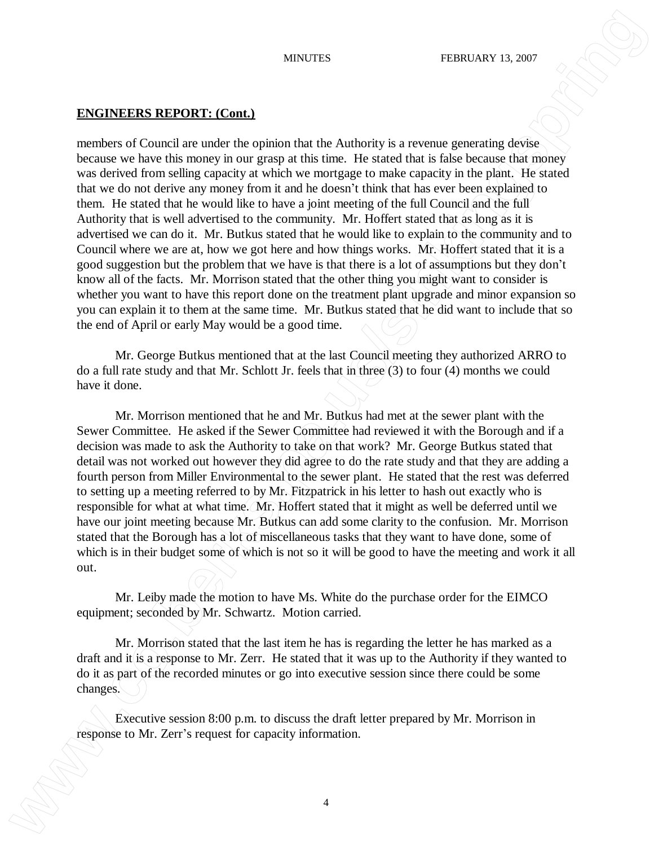members of Council are under the opinion that the Authority is a revenue generating devise because we have this money in our grasp at this time. He stated that is false because that money was derived from selling capacity at which we mortgage to make capacity in the plant. He stated that we do not derive any money from it and he doesn't think that has ever been explained to them. He stated that he would like to have a joint meeting of the full Council and the full Authority that is well advertised to the community. Mr. Hoffert stated that as long as it is advertised we can do it. Mr. Butkus stated that he would like to explain to the community and to Council where we are at, how we got here and how things works. Mr. Hoffert stated that it is a good suggestion but the problem that we have is that there is a lot of assumptions but they don't know all of the facts. Mr. Morrison stated that the other thing you might want to consider is whether you want to have this report done on the treatment plant upgrade and minor expansion so you can explain it to them at the same time. Mr. Butkus stated that he did want to include that so the end of April or early May would be a good time. **ENITY EVENTIFY SET COMMUNISM COMMUNISM CONTINUES (SIGNARY ACTOR)**<br> **ENITY CONTINUES REPORTS:** COMMUNISM CONTINUES ARE CONSULTED AND THE CONSULTED CONTINUES CONSULTED USE CONSULTED USE CONSULTED USE CONSULTED USE CONSULTE

Mr. George Butkus mentioned that at the last Council meeting they authorized ARRO to do a full rate study and that Mr. Schlott Jr. feels that in three (3) to four (4) months we could have it done.

Mr. Morrison mentioned that he and Mr. Butkus had met at the sewer plant with the Sewer Committee. He asked if the Sewer Committee had reviewed it with the Borough and if a decision was made to ask the Authority to take on that work? Mr. George Butkus stated that detail was not worked out however they did agree to do the rate study and that they are adding a fourth person from Miller Environmental to the sewer plant. He stated that the rest was deferred to setting up a meeting referred to by Mr. Fitzpatrick in his letter to hash out exactly who is responsible for what at what time. Mr. Hoffert stated that it might as well be deferred until we have our joint meeting because Mr. Butkus can add some clarity to the confusion. Mr. Morrison stated that the Borough has a lot of miscellaneous tasks that they want to have done, some of which is in their budget some of which is not so it will be good to have the meeting and work it all out.

Mr. Leiby made the motion to have Ms. White do the purchase order for the EIMCO equipment; seconded by Mr. Schwartz. Motion carried.

Mr. Morrison stated that the last item he has is regarding the letter he has marked as a draft and it is a response to Mr. Zerr. He stated that it was up to the Authority if they wanted to do it as part of the recorded minutes or go into executive session since there could be some changes.

Executive session 8:00 p.m. to discuss the draft letter prepared by Mr. Morrison in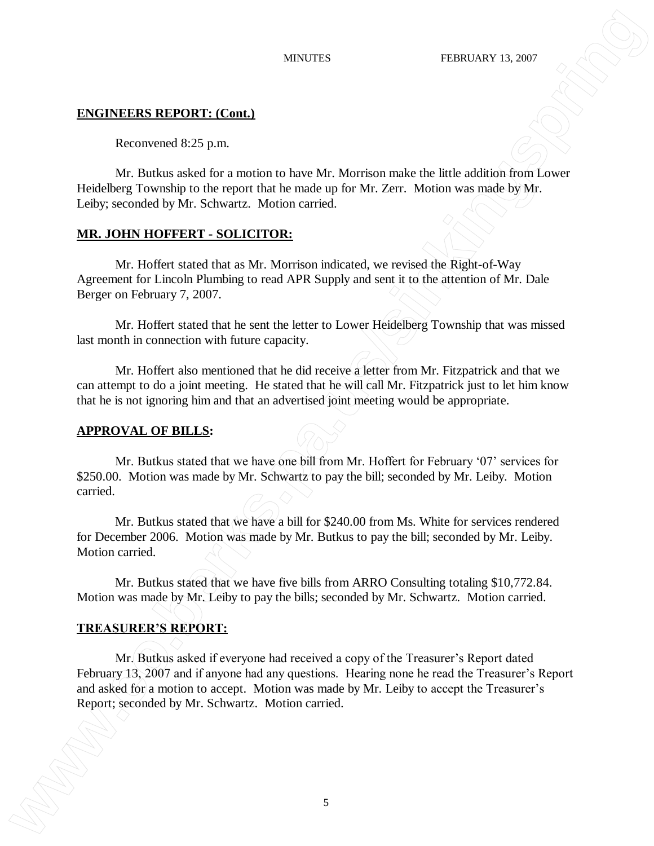Reconvened 8:25 p.m.

Mr. Butkus asked for a motion to have Mr. Morrison make the little addition from Lower Heidelberg Township to the report that he made up for Mr. Zerr. Motion was made by Mr. Leiby; seconded by Mr. Schwartz. Motion carried.

## **MR. JOHN HOFFERT - SOLICITOR:**

Mr. Hoffert stated that as Mr. Morrison indicated, we revised the Right-of-Way Agreement for Lincoln Plumbing to read APR Supply and sent it to the attention of Mr. Dale Berger on February 7, 2007.

Mr. Hoffert stated that he sent the letter to Lower Heidelberg Township that was missed last month in connection with future capacity.

Mr. Hoffert also mentioned that he did receive a letter from Mr. Fitzpatrick and that we can attempt to do a joint meeting. He stated that he will call Mr. Fitzpatrick just to let him know that he is not ignoring him and that an advertised joint meeting would be appropriate.

### **APPROVAL OF BILLS:**

Mr. Butkus stated that we have one bill from Mr. Hoffert for February '07' services for \$250.00. Motion was made by Mr. Schwartz to pay the bill; seconded by Mr. Leiby. Motion carried.

Mr. Butkus stated that we have a bill for \$240.00 from Ms. White for services rendered for December 2006. Motion was made by Mr. Butkus to pay the bill; seconded by Mr. Leiby. Motion carried.

Mr. Butkus stated that we have five bills from ARRO Consulting totaling \$10,772.84. Motion was made by Mr. Leiby to pay the bills; seconded by Mr. Schwartz. Motion carried.

## **TREASURER'S REPORT:**

Mr. Butkus asked if everyone had received a copy of the Treasurer's Report dated February 13, 2007 and if anyone had any questions. Hearing none he read the Treasurer's Report and asked for a motion to accept. Motion was made by Mr. Leiby to accept the Treasurer's ENITY THEN INTERESTANT (Commission Commission Commission Commission Commission Commission Commission Commission Commission Commission Commission Commission Commission Commission Commission Commission Commission Commission